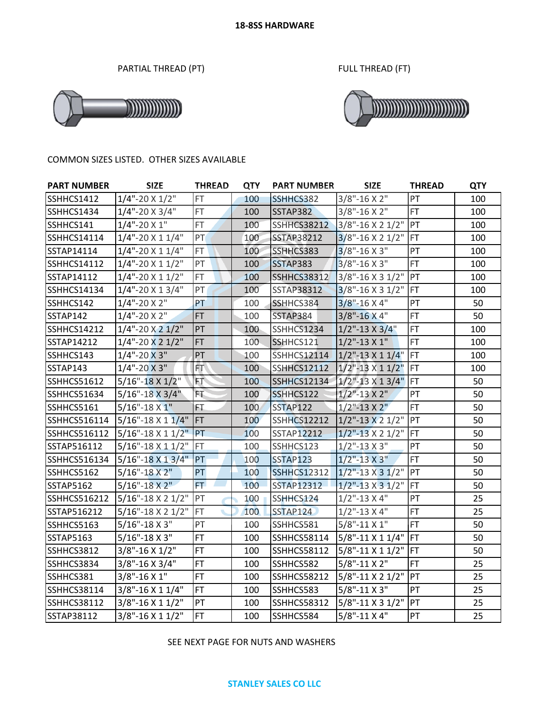PARTIAL THREAD (PT) FULL THREAD (FT)





#### COMMON SIZES LISTED. OTHER SIZES AVAILABLE

| <b>PART NUMBER</b>  | <b>SIZE</b>                       | <b>THREAD</b> | <b>QTY</b> | <b>PART NUMBER</b> | <b>SIZE</b>                | <b>THREAD</b> | <b>QTY</b> |
|---------------------|-----------------------------------|---------------|------------|--------------------|----------------------------|---------------|------------|
| SSHHCS1412          | $1/4$ "-20 X $1/2$ "              | <b>FT</b>     | 100        | SSHHCS382          | $3/8" - 16X2"$             | PT            | 100        |
| SSHHCS1434          | $1/4$ "-20 X 3/4"                 | FT.           | 100        | SSTAP382           | $3/8$ "-16 X 2"            | FT.           | 100        |
| SSHHCS141           | $1/4$ "-20 X 1"                   | FT.           | 100        | <b>SSHHCS38212</b> | 3/8"-16 X 2 1/2" PT        |               | 100        |
| SSHHCS14114         | $1/4$ "-20 X 1 $1/4$ "            | PT            | 100        | <b>SSTAP38212</b>  | $3/8" - 16 \times 21/2"$   | FT            | 100        |
| SSTAP14114          | $1/4$ "-20 X 1 $1/4$ "            | FT.           | 100        | SSHHCS383          | $3/8$ "-16 X 3"            | PT            | 100        |
| <b>SSHHCS14112</b>  | $1/4$ "-20 X 1 $1/2$ "            | PT            | 100        | SSTAP383           | 3/8"-16 X 3"               | FT            | 100        |
| SSTAP14112          | $1/4$ "-20 X 1 $1/2$ "            | FT.           | 100        | <b>SSHHCS38312</b> | 3/8"-16 X 3 1/2"           | PT            | 100        |
| SSHHCS14134         | $1/4$ "-20 X 1 3/4"               | PT            | 100        | <b>SSTAP38312</b>  | $3/8$ "-16 X 3 1/2"        | FT            | 100        |
| SSHHCS142           | $1/4$ "-20 X 2"                   | PT            | 100        | SSHHCS384          | $3/8$ "-16 X 4"            | PT            | 50         |
| SSTAP142            | $1/4$ "-20 X 2"                   | <b>FT</b>     | 100        | SSTAP384           | $3/8" - 16X4"$             | FT            | 50         |
| <b>SSHHCS14212</b>  | $1/4$ "-20 X 2 $1/2$ "            | PT            | 100        | SSHHCS1234         | $1/2$ "-13 X 3/4"          | FT            | 100        |
| SSTAP14212          | $1/4$ "-20 X 2 $1/2$ "            | FT.           | 100        | SSHHCS121          | $1/2$ "-13 X 1"            | FT            | 100        |
| SSHHCS143           | $1/4$ "-20 X 3"                   | PT            | 100        | <b>SSHHCS12114</b> | $1/2$ "-13 X 1 1/4" FT     |               | 100        |
| SSTAP143            | $1/4$ "-20 X 3"                   | FT.           | 100        | SSHHCS12112        | $1/2$ "-13 $\times$ 1 1/2" | FT            | 100        |
| <b>SSHHCS51612</b>  | 5/16"-18 X 1/2"                   | FТ            | 100        | <b>SSHHCS12134</b> | $1/2$ "-13 X 1 3/4"        | FT            | 50         |
| <b>SSHHCS51634</b>  | $5/16" - 18 \times 3/4"$          | ÈŦ.           | 100        | SSHHCS122          | $1/2$ "-13 X 2"            | PT            | 50         |
| SSHHCS5161          | $5/16$ "-18 X 1"                  | FT            | 100        | SSTAP122           | $1/2$ "-13 X 2"            | FT.           | 50         |
| SSHHCS516114        | $5/16$ "-18 X 1 1/4"              | FT            | 100        | <b>SSHHCS12212</b> | $1/2$ "-13 X 2 1/2"        | PT            | 50         |
| <b>SSHHCS516112</b> | $5/16$ "-18 X 1 1/2"              | PT            | 100        | <b>SSTAP12212</b>  | $1/2$ "-13 X 2 1/2"        | FT            | 50         |
| SSTAP516112         | $5/16" - 18 \times 11/2"$         | <b>FT</b>     | 100        | SSHHCS123          | $1/2$ "-13 X 3"            | PT            | 50         |
| SSHHCS516134        | $5/16" - 18 \times 13/4"$         | PT            | 100        | <b>SSTAP123</b>    | $1/2$ "-13 X 3"            | FT            | 50         |
| SSHHCS5162          | $5/16$ "-18 X 2"                  | PT            | 100        | <b>SSHHCS12312</b> | $1/2$ "-13 X 3 1/2"        | PT            | 50         |
| <b>SSTAP5162</b>    | $5/16" - 18X2"$                   | FT.           | 100        | <b>SSTAP12312</b>  | $1/2$ "-13 X 3 $1/2$ "     | FT            | 50         |
| <b>SSHHCS516212</b> | $5/16" - 18 \times 2 \frac{1}{2"$ | PT            | 100        | SSHHCS124          | $1/2$ "-13 X 4"            | PT            | 25         |
| SSTAP516212         | $5/16" - 18 \times 2 \frac{1}{2"$ | FT            | 100        | SSTAP124           | $1/2$ "-13 X 4"            | FT            | 25         |
| SSHHCS5163          | $5/16$ "-18 X 3"                  | PT            | 100        | SSHHCS581          | $5/8$ "-11 X 1"            | <b>FT</b>     | 50         |
| <b>SSTAP5163</b>    | $5/16" - 18 \times 3"$            | <b>FT</b>     | 100        | <b>SSHHCS58114</b> | 5/8"-11 X 1 1/4"   FT      |               | 50         |
| SSHHCS3812          | $3/8$ "-16 X 1/2"                 | <b>FT</b>     | 100        | <b>SSHHCS58112</b> | 5/8"-11 X 1 1/2"           | FT            | 50         |
| SSHHCS3834          | $3/8$ "-16 X 3/4"                 | FT.           | 100        | SSHHCS582          | $5/8" - 11 X 2"$           | <b>FT</b>     | 25         |
| SSHHCS381           | 3/8"-16 X 1"                      | <b>FT</b>     | 100        | <b>SSHHCS58212</b> | 5/8"-11 X 2 1/2"           | PT            | 25         |
| <b>SSHHCS38114</b>  | 3/8"-16 X 1 1/4"                  | FT.           | 100        | SSHHCS583          | 5/8"-11 X 3"               | PT            | 25         |
| <b>SSHHCS38112</b>  | 3/8"-16 X 1 1/2"                  | PT            | 100        | <b>SSHHCS58312</b> | 5/8"-11 X 3 1/2" PT        |               | 25         |
| SSTAP38112          | 3/8"-16 X 1 1/2"                  | <b>FT</b>     | 100        | SSHHCS584          | $5/8" - 11 X 4"$           | PT            | 25         |

## SEE NEXT PAGE FOR NUTS AND WASHERS

#### **STANLEY SALES CO LLC**